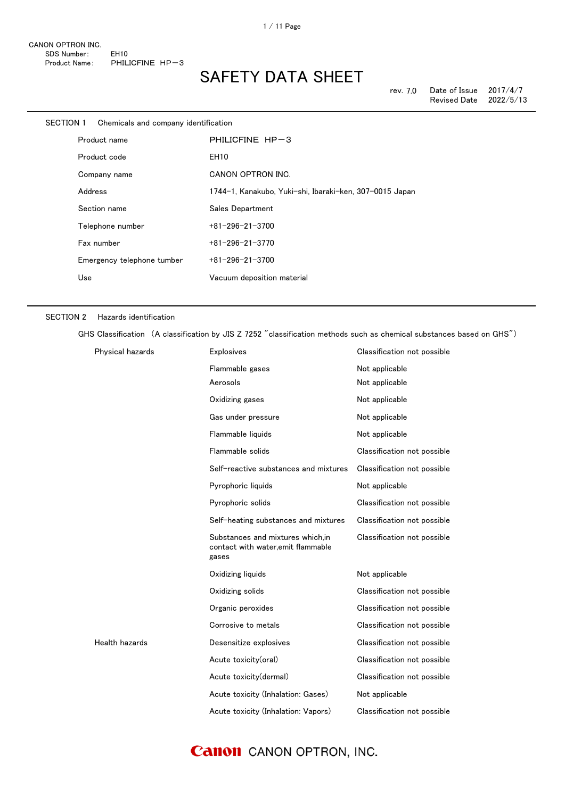| <b>SECTION 1</b>             | Chemicals and company identification |                                                         |
|------------------------------|--------------------------------------|---------------------------------------------------------|
| Product name<br>Product code |                                      | PHILICFINE HP-3                                         |
|                              |                                      | <b>EH10</b>                                             |
|                              | Company name                         | CANON OPTRON INC.                                       |
| Address                      |                                      | 1744-1, Kanakubo, Yuki-shi, Ibaraki-ken, 307-0015 Japan |
|                              | Section name                         | Sales Department                                        |
|                              | Telephone number                     | $+81 - 296 - 21 - 3700$                                 |
|                              | Fax number                           | $+81 - 296 - 21 - 3770$                                 |
|                              | Emergency telephone tumber           | $+81 - 296 - 21 - 3700$                                 |
| Use                          |                                      | Vacuum deposition material                              |

#### SECTION 2 Hazards identification

GHS Classification (A classification by JIS Z 7252 "classification methods such as chemical substances based on GHS")

| Physical hazards | <b>Explosives</b>                                                               | Classification not possible |
|------------------|---------------------------------------------------------------------------------|-----------------------------|
|                  | Flammable gases                                                                 | Not applicable              |
|                  | Aerosols                                                                        | Not applicable              |
|                  | Oxidizing gases                                                                 | Not applicable              |
|                  | Gas under pressure                                                              | Not applicable              |
|                  | Flammable liquids                                                               | Not applicable              |
|                  | Flammable solids                                                                | Classification not possible |
|                  | Self-reactive substances and mixtures                                           | Classification not possible |
|                  | Pyrophoric liquids                                                              | Not applicable              |
|                  | Pyrophoric solids                                                               | Classification not possible |
|                  | Self-heating substances and mixtures                                            | Classification not possible |
|                  | Substances and mixtures which.in<br>contact with water, emit flammable<br>gases | Classification not possible |
|                  | Oxidizing liquids                                                               | Not applicable              |
|                  | Oxidizing solids                                                                | Classification not possible |
|                  | Organic peroxides                                                               | Classification not possible |
|                  | Corrosive to metals                                                             | Classification not possible |
| Health hazards   | Desensitize explosives                                                          | Classification not possible |
|                  | Acute toxicity(oral)                                                            | Classification not possible |
|                  | Acute toxicity(dermal)                                                          | Classification not possible |
|                  | Acute toxicity (Inhalation: Gases)                                              | Not applicable              |
|                  | Acute toxicity (Inhalation: Vapors)                                             | Classification not possible |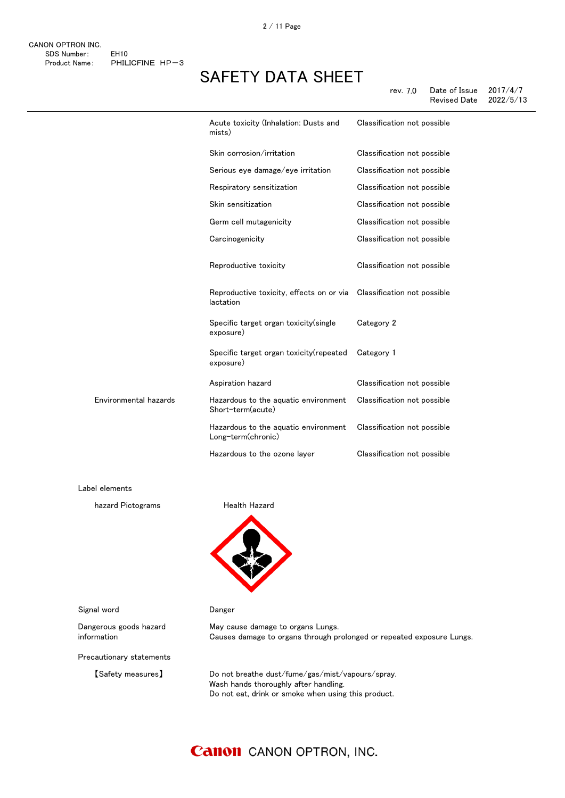rev. 7.0 Date of Issue 2017/4/7 Revised Date

|                       | Acute toxicity (Inhalation: Dusts and<br>mists)            | Classification not possible |
|-----------------------|------------------------------------------------------------|-----------------------------|
|                       | Skin corrosion/irritation                                  | Classification not possible |
|                       | Serious eye damage/eye irritation                          | Classification not possible |
|                       | Respiratory sensitization                                  | Classification not possible |
|                       | Skin sensitization                                         | Classification not possible |
|                       | Germ cell mutagenicity                                     | Classification not possible |
|                       | Carcinogenicity                                            | Classification not possible |
|                       | Reproductive toxicity                                      | Classification not possible |
|                       | Reproductive toxicity, effects on or via<br>lactation      | Classification not possible |
|                       | Specific target organ toxicity (single<br>exposure)        | Category 2                  |
|                       | Specific target organ toxicity(repeated<br>exposure)       | Category 1                  |
|                       | Aspiration hazard                                          | Classification not possible |
| Environmental hazards | Hazardous to the aquatic environment<br>Short-term(acute)  | Classification not possible |
|                       | Hazardous to the aquatic environment<br>Long-term(chronic) | Classification not possible |
|                       | Hazardous to the ozone layer                               | Classification not possible |
|                       |                                                            |                             |

Label elements

hazard Pictograms **Health Hazard** 



Signal word **Danger** 

Dangerous goods hazard information

Precautionary statements

May cause damage to organs Lungs. Causes damage to organs through prolonged or repeated exposure Lungs.

【Safety measures】 Do not breathe dust/fume/gas/mist/vapours/spray. Wash hands thoroughly after handling. Do not eat, drink or smoke when using this product.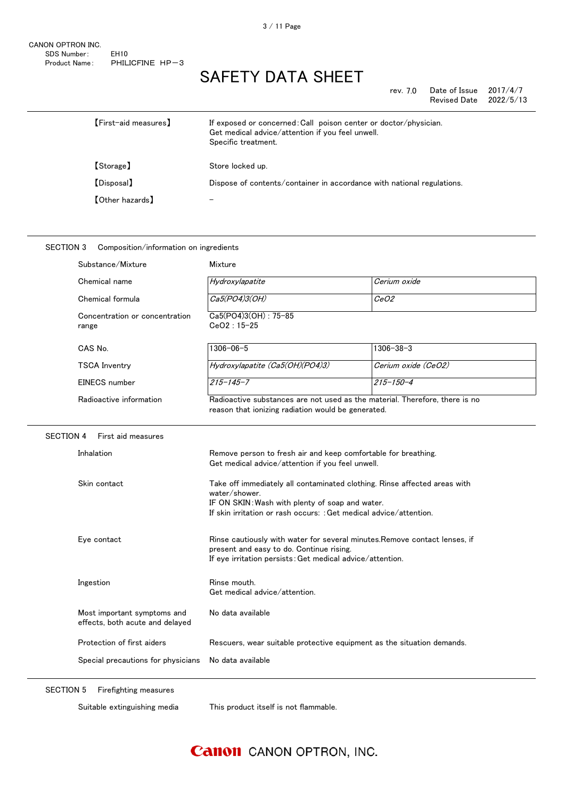| rev. 7.0 | Date of Issue | 2017/4/7  |
|----------|---------------|-----------|
|          | Revised Date  | 2022/5/13 |

| $[First$ aid measures $]$ | If exposed or concerned: Call poison center or doctor/physician.<br>Get medical advice/attention if you feel unwell.<br>Specific treatment. |
|---------------------------|---------------------------------------------------------------------------------------------------------------------------------------------|
| [Storage]                 | Store locked up.                                                                                                                            |
| [Disposal]                | Dispose of contents/container in accordance with national regulations.                                                                      |
| <b>【Other hazards】</b>    |                                                                                                                                             |

### SECTION 3 Composition/information on ingredients

|                  | Substance/Mixture                                              | Mixture                                                                                                                                                                                                             |                     |
|------------------|----------------------------------------------------------------|---------------------------------------------------------------------------------------------------------------------------------------------------------------------------------------------------------------------|---------------------|
|                  | Chemical name                                                  | Hydroxylapatite                                                                                                                                                                                                     | Cerium oxide        |
|                  | Chemical formula                                               | Ca5(PO4)3(OH)                                                                                                                                                                                                       | <i>CeO2</i>         |
|                  | Concentration or concentration<br>range                        | Ca5(PO4)3(OH): 75-85<br>$CeO2:15-25$                                                                                                                                                                                |                     |
|                  | CAS No.                                                        | $1306 - 06 - 5$                                                                                                                                                                                                     | $1306 - 38 - 3$     |
|                  | <b>TSCA Inventry</b>                                           | Hydroxylapatite (Ca5(OH)(PO4)3)                                                                                                                                                                                     | Cerium oxide (CeO2) |
|                  | EINECS number                                                  | $215 - 145 - 7$                                                                                                                                                                                                     | $215 - 150 - 4$     |
|                  | Radioactive information                                        | Radioactive substances are not used as the material. Therefore, there is no<br>reason that ionizing radiation would be generated.                                                                                   |                     |
| <b>SECTION 4</b> | First aid measures                                             |                                                                                                                                                                                                                     |                     |
|                  | Inhalation                                                     | Remove person to fresh air and keep comfortable for breathing.<br>Get medical advice/attention if you feel unwell.                                                                                                  |                     |
|                  | Skin contact                                                   | Take off immediately all contaminated clothing. Rinse affected areas with<br>water/shower.<br>IF ON SKIN: Wash with plenty of soap and water.<br>If skin irritation or rash occurs: : Get medical advice/attention. |                     |
|                  | Eye contact                                                    | Rinse cautiously with water for several minutes. Remove contact lenses, if<br>present and easy to do. Continue rising.<br>If eye irritation persists: Get medical advice/attention.                                 |                     |
|                  | Ingestion                                                      | Rinse mouth.<br>Get medical advice/attention.                                                                                                                                                                       |                     |
|                  | Most important symptoms and<br>effects, both acute and delayed | No data available                                                                                                                                                                                                   |                     |
|                  | Protection of first aiders                                     | Rescuers, wear suitable protective equipment as the situation demands.                                                                                                                                              |                     |
|                  | Special precautions for physicians<br>No data available        |                                                                                                                                                                                                                     |                     |
|                  |                                                                |                                                                                                                                                                                                                     |                     |

SECTION 5 Firefighting measures

Suitable extinguishing media This product itself is not flammable.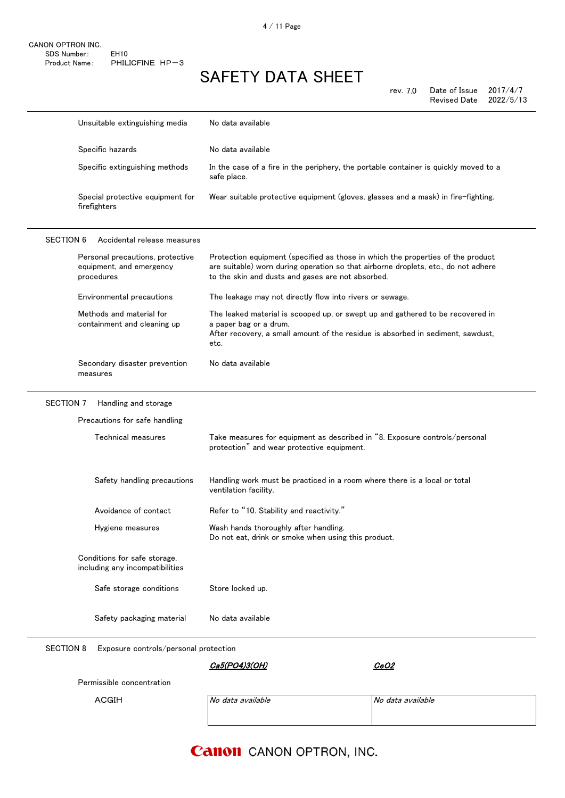rev. 7.0 Date of Issue 2017/4/7 Revised Date 2022/5/13

|                                                                            | Unsuitable extinguishing media                                  | No data available                                                                                                                                                                                                          |                   |
|----------------------------------------------------------------------------|-----------------------------------------------------------------|----------------------------------------------------------------------------------------------------------------------------------------------------------------------------------------------------------------------------|-------------------|
|                                                                            | Specific hazards                                                | No data available                                                                                                                                                                                                          |                   |
|                                                                            | Specific extinguishing methods                                  | In the case of a fire in the periphery, the portable container is quickly moved to a<br>safe place.                                                                                                                        |                   |
|                                                                            | Special protective equipment for<br>firefighters                | Wear suitable protective equipment (gloves, glasses and a mask) in fire-fighting.                                                                                                                                          |                   |
| <b>SECTION 6</b>                                                           | Accidental release measures                                     |                                                                                                                                                                                                                            |                   |
| Personal precautions, protective<br>equipment, and emergency<br>procedures |                                                                 | Protection equipment (specified as those in which the properties of the product<br>are suitable) worn during operation so that airborne droplets, etc., do not adhere<br>to the skin and dusts and gases are not absorbed. |                   |
|                                                                            | Environmental precautions                                       | The leakage may not directly flow into rivers or sewage.                                                                                                                                                                   |                   |
|                                                                            | Methods and material for<br>containment and cleaning up         | The leaked material is scooped up, or swept up and gathered to be recovered in<br>a paper bag or a drum.<br>After recovery, a small amount of the residue is absorbed in sediment, sawdust,<br>etc.                        |                   |
|                                                                            | Secondary disaster prevention<br>measures                       | No data available                                                                                                                                                                                                          |                   |
| <b>SECTION 7</b>                                                           | Handling and storage                                            |                                                                                                                                                                                                                            |                   |
|                                                                            | Precautions for safe handling                                   |                                                                                                                                                                                                                            |                   |
|                                                                            | Technical measures                                              | Take measures for equipment as described in "8. Exposure controls/personal<br>protection" and wear protective equipment.                                                                                                   |                   |
|                                                                            | Safety handling precautions                                     | Handling work must be practiced in a room where there is a local or total<br>ventilation facility.                                                                                                                         |                   |
|                                                                            | Avoidance of contact                                            | Refer to "10. Stability and reactivity."                                                                                                                                                                                   |                   |
|                                                                            | Hygiene measures                                                | Wash hands thoroughly after handling.<br>Do not eat, drink or smoke when using this product.                                                                                                                               |                   |
|                                                                            | Conditions for safe storage,<br>including any incompatibilities |                                                                                                                                                                                                                            |                   |
|                                                                            | Safe storage conditions                                         | Store locked up.                                                                                                                                                                                                           |                   |
|                                                                            | Safety packaging material                                       | No data available                                                                                                                                                                                                          |                   |
| <b>SECTION 8</b>                                                           | Exposure controls/personal protection                           |                                                                                                                                                                                                                            |                   |
|                                                                            |                                                                 | Ca5(PO4)3(OH)                                                                                                                                                                                                              | CeO2              |
|                                                                            | Permissible concentration                                       |                                                                                                                                                                                                                            |                   |
|                                                                            | <b>ACGIH</b>                                                    | No data available                                                                                                                                                                                                          | No data available |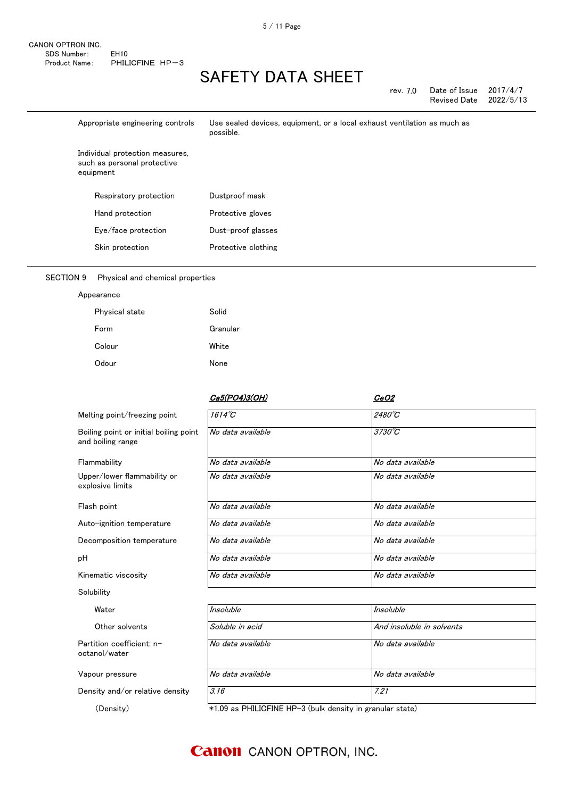| rev. 7.0 | Date of Issue       | 2017/4/7  |
|----------|---------------------|-----------|
|          | <b>Revised Date</b> | 2022/5/13 |

| Appropriate engineering controls                                            | Use sealed devices, equipment, or a local exhaust ventilation as much as<br>possible. |
|-----------------------------------------------------------------------------|---------------------------------------------------------------------------------------|
| Individual protection measures,<br>such as personal protective<br>equipment |                                                                                       |
| Respiratory protection                                                      | Dustproof mask                                                                        |
| Hand protection                                                             | Protective gloves                                                                     |
| Eye/face protection                                                         | Dust-proof glasses                                                                    |
| Skin protection                                                             | Protective clothing                                                                   |

### SECTION 9 Physical and chemical properties

| Appearance |
|------------|
|------------|

| Physical state | Solid    |
|----------------|----------|
| Form           | Granular |
| Colour         | White    |
| Odour          | None     |

| <u>Ca5(PO4)3(OH)</u> | CeO2                      |
|----------------------|---------------------------|
| $1614^{\circ}C$      | $2480^{\circ}$ C          |
| No data available    | $3730^{\circ}C$           |
| No data available    | No data available         |
| No data available    | No data available         |
| No data available    | No data available         |
| No data available    | No data available         |
| No data available    | No data available         |
| No data available    | No data available         |
| No data available    | No data available         |
|                      |                           |
| Insoluble            | <b>Insoluble</b>          |
| Soluble in acid      | And insoluble in solvents |
| No data available    | No data available         |
| No data available    | No data available         |
|                      |                           |

Density and/or relative density 3.16 3.16

(Density) \*1.09 as PHILICFINE HP-3 (bulk density in granular state)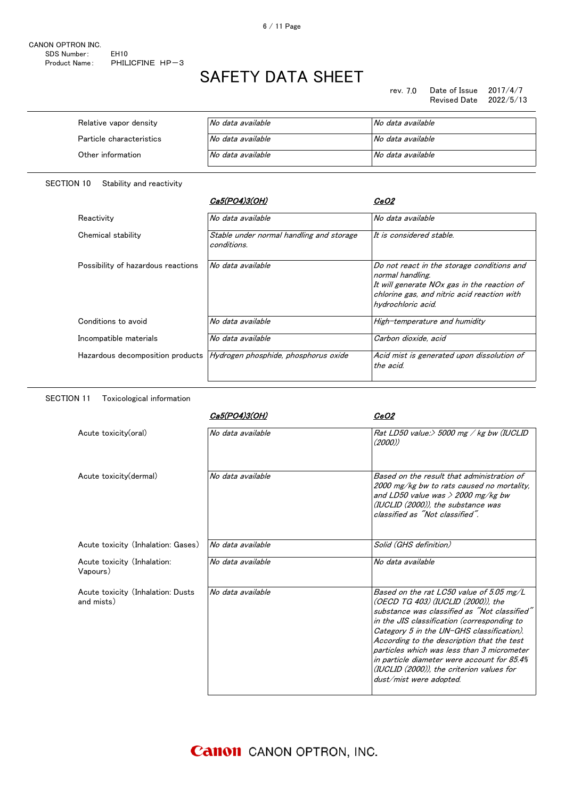rev. 7.0 Date of Issue 2017/4/7 Revised Date 2022/5/13

| Relative vapor density   | No data available | No data available |
|--------------------------|-------------------|-------------------|
| Particle characteristics | No data available | No data available |
| Other information        | No data available | No data available |

SECTION 10 Stability and reactivity

SECTION 11 Toxicological information

|                                    | Ca5(PO4)3(OH)                                           | <i>CeO2</i>                                                                                                                                                                        |
|------------------------------------|---------------------------------------------------------|------------------------------------------------------------------------------------------------------------------------------------------------------------------------------------|
| Reactivity                         | No data available                                       | No data available                                                                                                                                                                  |
| Chemical stability                 | Stable under normal handling and storage<br>conditions. | lt is considered stable.                                                                                                                                                           |
| Possibility of hazardous reactions | No data available                                       | Do not react in the storage conditions and<br>normal handling.<br>It will generate NOx gas in the reaction of<br>chlorine gas, and nitric acid reaction with<br>hydrochloric acid. |
| Conditions to avoid                | No data available                                       | High-temperature and humidity                                                                                                                                                      |
| Incompatible materials             | No data available                                       | Carbon dioxide, acid                                                                                                                                                               |
| Hazardous decomposition products   | Hydrogen phosphide, phosphorus oxide                    | Acid mist is generated upon dissolution of<br>the acid.                                                                                                                            |

|                                                 | Ca5(PO4)3(OH)     | <i>CeO2</i>                                                                                                                                                                                                                                                                                                                                                                                                                                   |
|-------------------------------------------------|-------------------|-----------------------------------------------------------------------------------------------------------------------------------------------------------------------------------------------------------------------------------------------------------------------------------------------------------------------------------------------------------------------------------------------------------------------------------------------|
| Acute toxicity(oral)                            | No data available | Rat LD50 value: $>$ 5000 mg / kg bw (IUCLID<br>(2000)                                                                                                                                                                                                                                                                                                                                                                                         |
| Acute toxicity (dermal)                         | No data available | Based on the result that administration of<br>2000 mg/kg bw to rats caused no mortality,<br>and LD50 value was $>$ 2000 mg/kg bw<br>(IUCLID (2000)), the substance was<br>classified as "Not classified"                                                                                                                                                                                                                                      |
| Acute toxicity (Inhalation: Gases)              | No data available | Solid (GHS definition)                                                                                                                                                                                                                                                                                                                                                                                                                        |
| Acute toxicity (Inhalation:<br>Vapours)         | No data available | No data available                                                                                                                                                                                                                                                                                                                                                                                                                             |
| Acute toxicity (Inhalation: Dusts<br>and mists) | No data available | Based on the rat LC50 value of 5.05 mg/L<br>(OECD TG 403) (IUCLID (2000)), the<br>substance was classified as "Not classified"<br>in the JIS classification (corresponding to<br>Category 5 in the UN-GHS classification).<br>According to the description that the test<br>particles which was less than 3 micrometer<br>in particle diameter were account for 85.4%<br>(IUCLID (2000)), the criterion values for<br>dust/mist were adopted. |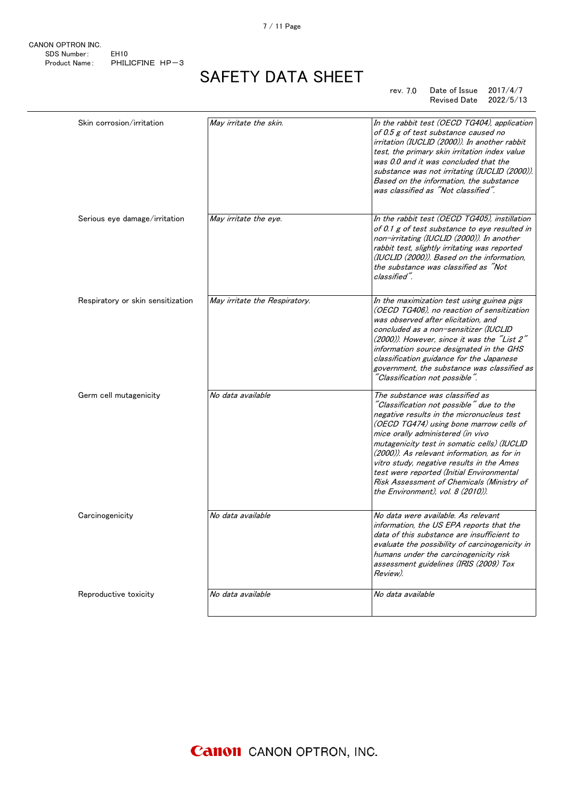7 / 11 Page

CANON OPTRON INC. SDS Number: EH10 Product Name: PHILICFINE HP-3

# SAFETY DATA SHEET

#### rev. 7.0 Date of Issue 2017/4/7 Revised Date 2022/5/13

| Skin corrosion/irritation         | May irritate the skin.        | In the rabbit test (OECD TG404), application<br>of 0.5 g of test substance caused no<br>irritation (IUCLID (2000)). In another rabbit<br>test, the primary skin irritation index value<br>was 0.0 and it was concluded that the<br>substance was not irritating (IUCLID (2000)).<br>Based on the information, the substance<br>was classified as "Not classified".                                                                                                                 |
|-----------------------------------|-------------------------------|------------------------------------------------------------------------------------------------------------------------------------------------------------------------------------------------------------------------------------------------------------------------------------------------------------------------------------------------------------------------------------------------------------------------------------------------------------------------------------|
| Serious eye damage/irritation     | May irritate the eye.         | In the rabbit test (OECD TG405), instillation<br>of 0.1 g of test substance to eye resulted in<br>non-irritating (IUCLID (2000)). In another<br>rabbit test, slightly irritating was reported<br>(IUCLID (2000)). Based on the information,<br>the substance was classified as "Not<br>classified".                                                                                                                                                                                |
| Respiratory or skin sensitization | May irritate the Respiratory. | In the maximization test using guinea pigs<br>(OECD TG406), no reaction of sensitization<br>was observed after elicitation, and<br>concluded as a non-sensitizer (IUCLID<br>(2000)). However, since it was the "List 2"<br>information source designated in the GHS<br>classification guidance for the Japanese<br>government, the substance was classified as<br>"Classification not possible".                                                                                   |
| Germ cell mutagenicity            | No data available             | The substance was classified as<br>"Classification not possible" due to the<br>negative results in the micronucleus test<br>(OECD TG474) using bone marrow cells of<br>mice orally administered (in vivo<br>mutagenicity test in somatic cells) (IUCLID<br>(2000)). As relevant information, as for in<br>vitro study, negative results in the Ames<br>test were reported (Initial Environmental<br>Risk Assessment of Chemicals (Ministry of<br>the Environment), vol. 8 (2010)). |
| Carcinogenicity                   | No data available             | No data were available. As relevant<br>information, the US EPA reports that the<br>data of this substance are insufficient to<br>evaluate the possibility of carcinogenicity in<br>humans under the carcinogenicity risk<br>assessment guidelines (IRIS (2009) Tox<br>Review).                                                                                                                                                                                                     |
| Reproductive toxicity             | No data available             | No data available                                                                                                                                                                                                                                                                                                                                                                                                                                                                  |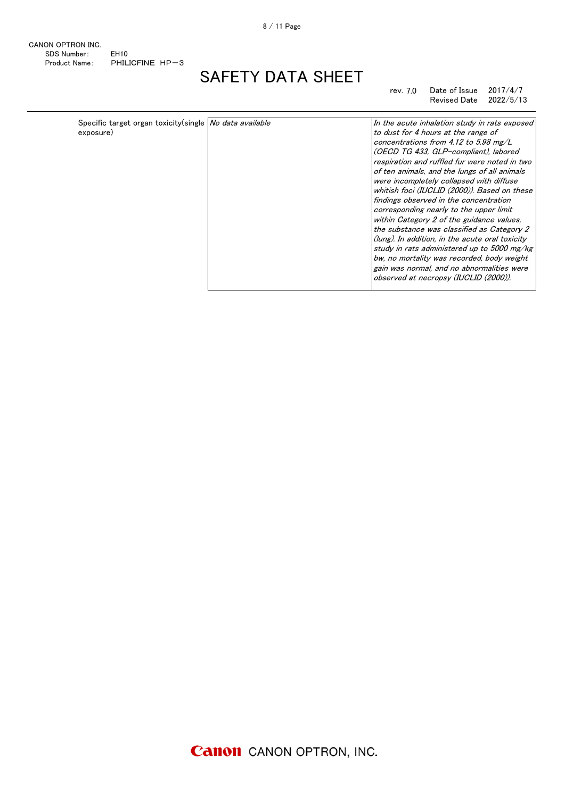CANON OPTRON INC. SDS Number: EH10 Product Name: PHILICFINE HP-3

# SAFETY DATA SHEET

rev. 7.0 Date of Issue 2017/4/7 Revised Date 2022/5/13

| Specific target organ toxicity (single No data available | In the acute inhalation study in rats exposed   |
|----------------------------------------------------------|-------------------------------------------------|
| to dust for 4 hours at the range of                      | respiration and ruffled fur were noted in two   |
| exposure)                                                | of ten animals, and the lungs of all animals    |
| concentrations from 4.12 to 5.98 mg/L                    | whitish foci (IUCLID (2000)). Based on these    |
| (OECD TG 433, GLP-compliant), labored                    | the substance was classified as Category 2      |
| were incompletely collapsed with diffuse                 | (lung). In addition, in the acute oral toxicity |
| findings observed in the concentration                   | study in rats administered up to 5000 mg/kg     |
| corresponding nearly to the upper limit                  | bw, no mortality was recorded, body weight      |
| within Category 2 of the guidance values.                | gain was normal, and no abnormalities were      |
|                                                          | observed at necropsy (IUCLID (2000)).           |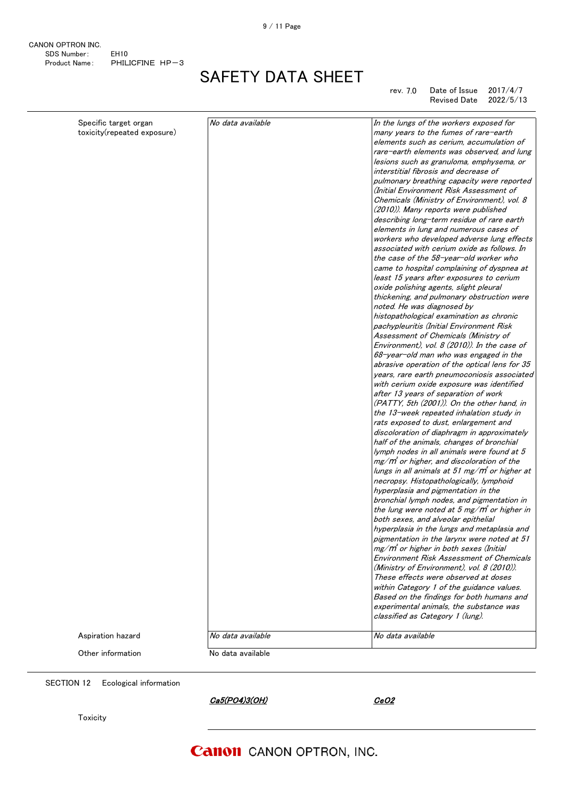CANON OPTRON INC. SDS Number: EH10 Product Name: PHILICFINE HP-3

# SAFETY DATA SHEET

#### rev. 7.0 Date of Issue 2017/4/7 Revised Date 2022/5/13

| Specific target organ<br>toxicity(repeated exposure) | No data available | In the lungs of the workers exposed for<br>many years to the fumes of rare-earth<br>elements such as cerium, accumulation of<br>rare-earth elements was observed, and lung<br>lesions such as granuloma, emphysema, or<br>interstitial fibrosis and decrease of<br>pulmonary breathing capacity were reported<br>(Initial Environment Risk Assessment of<br>Chemicals (Ministry of Environment), vol. 8<br>(2010)). Many reports were published<br>describing long-term residue of rare earth<br>elements in lung and numerous cases of<br>workers who developed adverse lung effects<br>associated with cerium oxide as follows. In<br>the case of the 58-year-old worker who<br>came to hospital complaining of dyspnea at<br>least 15 years after exposures to cerium<br>oxide polishing agents, slight pleural<br>thickening, and pulmonary obstruction were<br>noted. He was diagnosed by<br>histopathological examination as chronic<br>pachypleuritis (Initial Environment Risk<br>Assessment of Chemicals (Ministry of<br>Environment), vol. 8 (2010)). In the case of<br>68-year-old man who was engaged in the<br>abrasive operation of the optical lens for 35<br>years, rare earth pneumoconiosis associated<br>with cerium oxide exposure was identified<br>after 13 years of separation of work<br>(PATTY, 5th (2001)). On the other hand, in<br>the 13-week repeated inhalation study in<br>rats exposed to dust, enlargement and<br>discoloration of diaphragm in approximately<br>half of the animals, changes of bronchial<br>lymph nodes in all animals were found at 5<br>$mg/m$ or higher, and discoloration of the<br>lungs in all animals at 51 mg/m° or higher at<br>necropsy. Histopathologically, lymphoid<br>hyperplasia and pigmentation in the<br>bronchial lymph nodes, and pigmentation in<br>the lung were noted at 5 mg/ $m$ or higher in<br>both sexes, and alveolar epithelial<br>hyperplasia in the lungs and metaplasia and<br>pigmentation in the larynx were noted at 51<br>$mg/m^3$ or higher in both sexes (Initial<br><b>Environment Risk Assessment of Chemicals</b><br>(Ministry of Environment), vol. 8 (2010)).<br>These effects were observed at doses |
|------------------------------------------------------|-------------------|-------------------------------------------------------------------------------------------------------------------------------------------------------------------------------------------------------------------------------------------------------------------------------------------------------------------------------------------------------------------------------------------------------------------------------------------------------------------------------------------------------------------------------------------------------------------------------------------------------------------------------------------------------------------------------------------------------------------------------------------------------------------------------------------------------------------------------------------------------------------------------------------------------------------------------------------------------------------------------------------------------------------------------------------------------------------------------------------------------------------------------------------------------------------------------------------------------------------------------------------------------------------------------------------------------------------------------------------------------------------------------------------------------------------------------------------------------------------------------------------------------------------------------------------------------------------------------------------------------------------------------------------------------------------------------------------------------------------------------------------------------------------------------------------------------------------------------------------------------------------------------------------------------------------------------------------------------------------------------------------------------------------------------------------------------------------------------------------------------------------------------------------------------------------------------------------------------|
|                                                      |                   |                                                                                                                                                                                                                                                                                                                                                                                                                                                                                                                                                                                                                                                                                                                                                                                                                                                                                                                                                                                                                                                                                                                                                                                                                                                                                                                                                                                                                                                                                                                                                                                                                                                                                                                                                                                                                                                                                                                                                                                                                                                                                                                                                                                                       |
|                                                      |                   | within Category 1 of the guidance values.<br>Based on the findings for both humans and<br>experimental animals, the substance was<br>classified as Category 1 (lung).                                                                                                                                                                                                                                                                                                                                                                                                                                                                                                                                                                                                                                                                                                                                                                                                                                                                                                                                                                                                                                                                                                                                                                                                                                                                                                                                                                                                                                                                                                                                                                                                                                                                                                                                                                                                                                                                                                                                                                                                                                 |
| Aspiration hazard                                    | No data available | No data available                                                                                                                                                                                                                                                                                                                                                                                                                                                                                                                                                                                                                                                                                                                                                                                                                                                                                                                                                                                                                                                                                                                                                                                                                                                                                                                                                                                                                                                                                                                                                                                                                                                                                                                                                                                                                                                                                                                                                                                                                                                                                                                                                                                     |
| Other information                                    | No data available |                                                                                                                                                                                                                                                                                                                                                                                                                                                                                                                                                                                                                                                                                                                                                                                                                                                                                                                                                                                                                                                                                                                                                                                                                                                                                                                                                                                                                                                                                                                                                                                                                                                                                                                                                                                                                                                                                                                                                                                                                                                                                                                                                                                                       |

SECTION 12 Ecological information

Ca5(PO4)3(OH) CeO2

Toxicity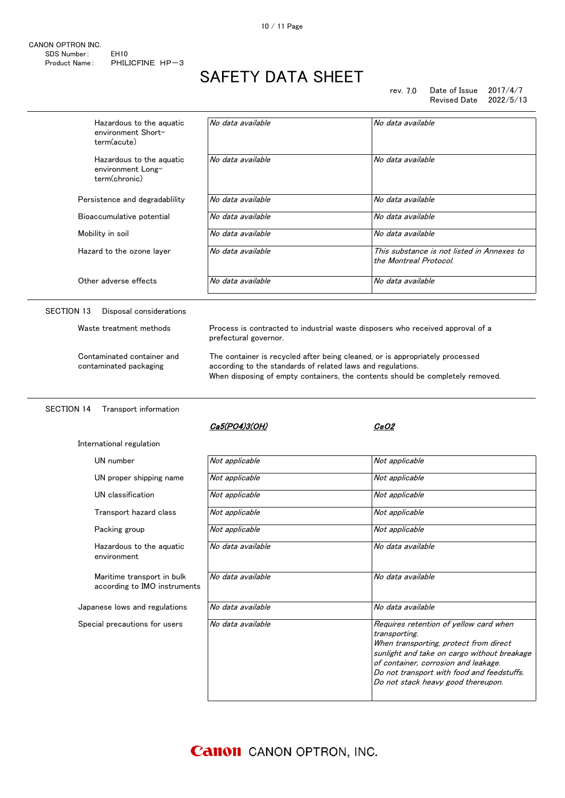| CANON OPTRON INC. |                   |  |
|-------------------|-------------------|--|
| SDS Number:       | FH <sub>10</sub>  |  |
| Product Name:     | PHILICFINE $HP-3$ |  |

rev. 7.0 Date of Issue 2017/4/7 Revised Date 2022/5/13

When transporting, protect from direct sunlight and take on cargo without breakage of container, corrosion and leakage. Do not transport with food and feedstuffs. Do not stack heavy good thereupon.

| Hazardous to the aquatic<br>environment Short-<br>term(acute)  | No data available                                                                                                                                                                                                             | No data available                                                              |
|----------------------------------------------------------------|-------------------------------------------------------------------------------------------------------------------------------------------------------------------------------------------------------------------------------|--------------------------------------------------------------------------------|
| Hazardous to the aquatic<br>environment Long-<br>term(chronic) | No data available                                                                                                                                                                                                             | No data available                                                              |
| Persistence and degradability                                  | No data available                                                                                                                                                                                                             | No data available                                                              |
| Bioaccumulative potential                                      | No data available                                                                                                                                                                                                             | No data available                                                              |
| Mobility in soil                                               | No data available                                                                                                                                                                                                             | No data available                                                              |
| Hazard to the ozone layer                                      | No data available                                                                                                                                                                                                             | This substance is not listed in Annexes to<br>the Montreal Protocol.           |
| Other adverse effects                                          | No data available                                                                                                                                                                                                             | No data available                                                              |
| SECTION 13<br>Disposal considerations                          |                                                                                                                                                                                                                               |                                                                                |
| Waste treatment methods                                        | prefectural governor.                                                                                                                                                                                                         | Process is contracted to industrial waste disposers who received approval of a |
| Contaminated container and<br>contaminated packaging           | The container is recycled after being cleaned, or is appropriately processed<br>according to the standards of related laws and regulations.<br>When disposing of empty containers, the contents should be completely removed. |                                                                                |
| <b>SECTION 14</b><br>Transport information                     |                                                                                                                                                                                                                               |                                                                                |
|                                                                | Ca5(PO4)3(OH)                                                                                                                                                                                                                 | CeO2                                                                           |
| International regulation                                       |                                                                                                                                                                                                                               |                                                                                |
| UN number                                                      | Not applicable                                                                                                                                                                                                                | Not applicable                                                                 |
| UN proper shipping name                                        | Not applicable                                                                                                                                                                                                                | Not applicable                                                                 |
| UN classification                                              | Not applicable                                                                                                                                                                                                                | Not applicable                                                                 |
| Transport hazard class                                         | Not applicable                                                                                                                                                                                                                | Not applicable                                                                 |
| Packing group                                                  | Not applicable                                                                                                                                                                                                                | Not applicable                                                                 |
| Hazardous to the aquatic<br>environment                        | No data available                                                                                                                                                                                                             | No data available                                                              |
| Maritime transport in bulk<br>according to IMO instruments     | No data available                                                                                                                                                                                                             | No data available                                                              |
| Japanese lows and regulations                                  | No data available                                                                                                                                                                                                             | No data available                                                              |
| Special precautions for users                                  | No data available                                                                                                                                                                                                             | Requires retention of yellow card when                                         |